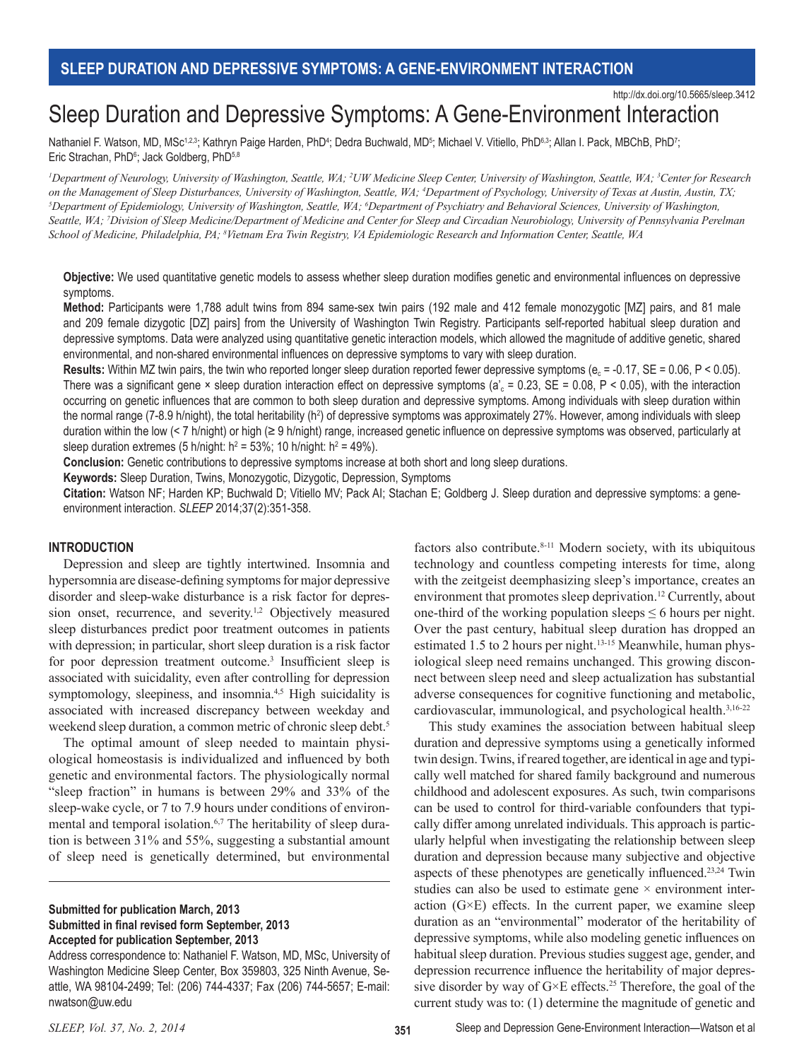# Sleep Duration and Depressive Symptoms: A Gene-Environment Interaction

Nathaniel F. Watson, MD, MSc<sup>1,2,3</sup>; Kathryn Paige Harden, PhD<sup>4</sup>; Dedra Buchwald, MD<sup>5</sup>; Michael V. Vitiello, PhD<sup>6,3</sup>; Allan I. Pack, MBChB, PhD<sup>7</sup>; Eric Strachan, PhD<sup>6</sup>; Jack Goldberg, PhD<sup>5,8</sup>

<sup>*1*</sup>Department of Neurology, University of Washington, Seattle, WA; <sup>2</sup>UW Medicine Sleep Center, University of Washington, Seattle, WA; <sup>3</sup>Center for Research on the Management of Sleep Disturbances, University of Washington, Seattle, WA; <sup>4</sup>Department of Psychology, University of Texas at Austin, Austin, TX;<br><sup>5</sup>Department of Enidemialogy, University of Washington, Seattle, WA: Department of Epidemiology, University of Washington, Seattle, WA; <sup>5</sup>Department of Psychiatry and Behavioral Sciences, University of Washington, *Seattle, WA; 7 Division of Sleep Medicine/Department of Medicine and Center for Sleep and Circadian Neurobiology, University of Pennsylvania Perelman School of Medicine, Philadelphia, PA; 8 Vietnam Era Twin Registry, VA Epidemiologic Research and Information Center, Seattle, WA*

**Objective:** We used quantitative genetic models to assess whether sleep duration modifies genetic and environmental influences on depressive symptoms.

**Method:** Participants were 1,788 adult twins from 894 same-sex twin pairs (192 male and 412 female monozygotic [MZ] pairs, and 81 male and 209 female dizygotic [DZ] pairs] from the University of Washington Twin Registry. Participants self-reported habitual sleep duration and depressive symptoms. Data were analyzed using quantitative genetic interaction models, which allowed the magnitude of additive genetic, shared environmental, and non-shared environmental influences on depressive symptoms to vary with sleep duration.

**Results:** Within MZ twin pairs, the twin who reported longer sleep duration reported fewer depressive symptoms ( $e_c$  = -0.17,  $SE$  = 0.06,  $P$  < 0.05). There was a significant gene  $\times$  sleep duration interaction effect on depressive symptoms (a'<sub>c</sub> = 0.23, SE = 0.08, P < 0.05), with the interaction occurring on genetic influences that are common to both sleep duration and depressive symptoms. Among individuals with sleep duration within the normal range (7-8.9 h/night), the total heritability (h<sup>2</sup>) of depressive symptoms was approximately 27%. However, among individuals with sleep duration within the low (< 7 h/night) or high (≥ 9 h/night) range, increased genetic influence on depressive symptoms was observed, particularly at sleep duration extremes (5 h/night:  $h^2 = 53\%$ ; 10 h/night:  $h^2 = 49\%$ ).

**Conclusion:** Genetic contributions to depressive symptoms increase at both short and long sleep durations.

**Keywords:** Sleep Duration, Twins, Monozygotic, Dizygotic, Depression, Symptoms

**Citation:** Watson NF; Harden KP; Buchwald D; Vitiello MV; Pack AI; Stachan E; Goldberg J. Sleep duration and depressive symptoms: a geneenvironment interaction. *SLEEP* 2014;37(2):351-358.

#### **INTRODUCTION**

Depression and sleep are tightly intertwined. Insomnia and hypersomnia are disease-defining symptoms for major depressive disorder and sleep-wake disturbance is a risk factor for depression onset, recurrence, and severity.<sup>1,2</sup> Objectively measured sleep disturbances predict poor treatment outcomes in patients with depression; in particular, short sleep duration is a risk factor for poor depression treatment outcome.<sup>3</sup> Insufficient sleep is associated with suicidality, even after controlling for depression symptomology, sleepiness, and insomnia.<sup>4,5</sup> High suicidality is associated with increased discrepancy between weekday and weekend sleep duration, a common metric of chronic sleep debt.<sup>5</sup>

The optimal amount of sleep needed to maintain physiological homeostasis is individualized and influenced by both genetic and environmental factors. The physiologically normal "sleep fraction" in humans is between 29% and 33% of the sleep-wake cycle, or 7 to 7.9 hours under conditions of environmental and temporal isolation.<sup>6,7</sup> The heritability of sleep duration is between 31% and 55%, suggesting a substantial amount of sleep need is genetically determined, but environmental

# **Submitted for publication March, 2013 Submitted in final revised form September, 2013 Accepted for publication September, 2013**

Address correspondence to: Nathaniel F. Watson, MD, MSc, University of Washington Medicine Sleep Center, Box 359803, 325 Ninth Avenue, Seattle, WA 98104-2499; Tel: (206) 744-4337; Fax (206) 744-5657; E-mail: nwatson@uw.edu

factors also contribute.<sup>8-11</sup> Modern society, with its ubiquitous technology and countless competing interests for time, along with the zeitgeist deemphasizing sleep's importance, creates an environment that promotes sleep deprivation.<sup>12</sup> Currently, about one-third of the working population sleeps  $\leq 6$  hours per night. Over the past century, habitual sleep duration has dropped an estimated 1.5 to 2 hours per night.<sup>13-15</sup> Meanwhile, human physiological sleep need remains unchanged. This growing disconnect between sleep need and sleep actualization has substantial adverse consequences for cognitive functioning and metabolic, cardiovascular, immunological, and psychological health.3,16-22

This study examines the association between habitual sleep duration and depressive symptoms using a genetically informed twin design. Twins, if reared together, are identical in age and typically well matched for shared family background and numerous childhood and adolescent exposures. As such, twin comparisons can be used to control for third-variable confounders that typically differ among unrelated individuals. This approach is particularly helpful when investigating the relationship between sleep duration and depression because many subjective and objective aspects of these phenotypes are genetically influenced.23,24 Twin studies can also be used to estimate gene  $\times$  environment interaction  $(G \times E)$  effects. In the current paper, we examine sleep duration as an "environmental" moderator of the heritability of depressive symptoms, while also modeling genetic influences on habitual sleep duration. Previous studies suggest age, gender, and depression recurrence influence the heritability of major depressive disorder by way of  $G \times E$  effects.<sup>25</sup> Therefore, the goal of the current study was to: (1) determine the magnitude of genetic and

http://dx.doi.org/10.5665/sleep.3412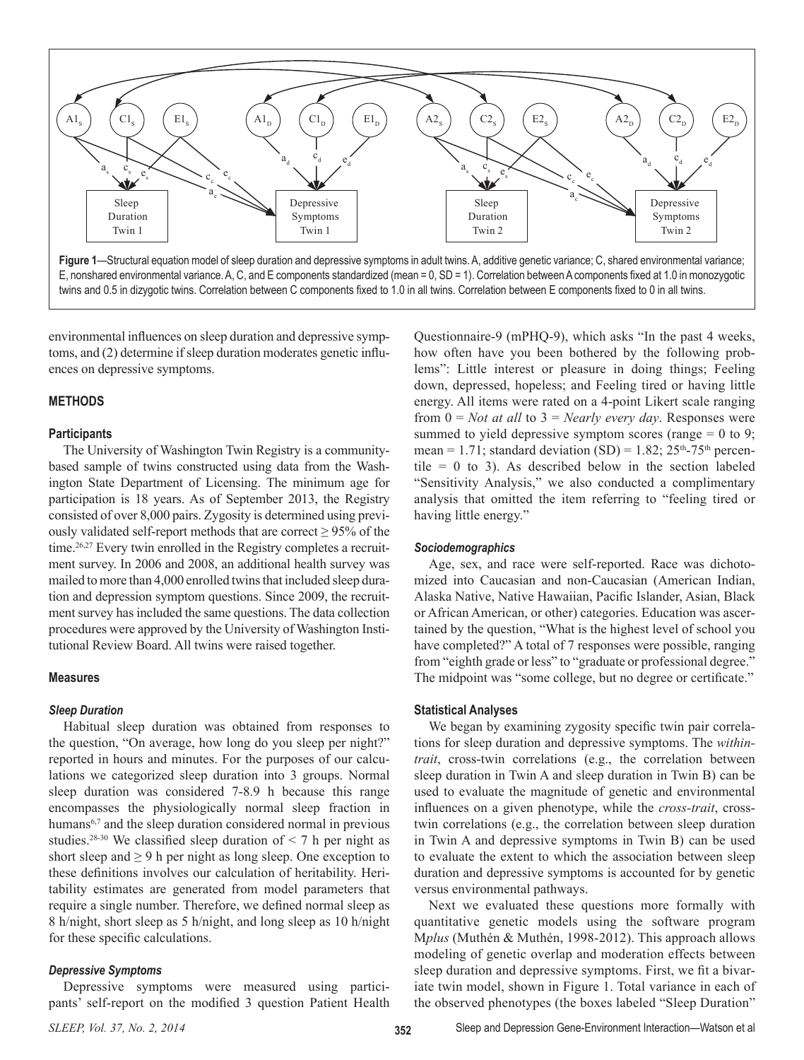

environmental influences on sleep duration and depressive symptoms, and (2) determine if sleep duration moderates genetic influences on depressive symptoms.

# **METHODS**

#### **Participants**

The University of Washington Twin Registry is a communitybased sample of twins constructed using data from the Washington State Department of Licensing. The minimum age for participation is 18 years. As of September 2013, the Registry consisted of over 8,000 pairs. Zygosity is determined using previously validated self-report methods that are correct  $\geq$  95% of the time.<sup>26,27</sup> Every twin enrolled in the Registry completes a recruitment survey. In 2006 and 2008, an additional health survey was mailed to more than 4,000 enrolled twins that included sleep duration and depression symptom questions. Since 2009, the recruitment survey has included the same questions. The data collection procedures were approved by the University of Washington Institutional Review Board. All twins were raised together.

#### **Measures**

### *Sleep Duration*

Habitual sleep duration was obtained from responses to the question, "On average, how long do you sleep per night?" reported in hours and minutes. For the purposes of our calculations we categorized sleep duration into 3 groups. Normal sleep duration was considered 7-8.9 h because this range encompasses the physiologically normal sleep fraction in humans<sup>6,7</sup> and the sleep duration considered normal in previous studies.<sup>28-30</sup> We classified sleep duration of  $\leq$  7 h per night as short sleep and  $\geq$  9 h per night as long sleep. One exception to these definitions involves our calculation of heritability. Heritability estimates are generated from model parameters that require a single number. Therefore, we defined normal sleep as 8 h/night, short sleep as 5 h/night, and long sleep as 10 h/night for these specific calculations.

# *Depressive Symptoms*

Depressive symptoms were measured using participants' self-report on the modified 3 question Patient Health

Questionnaire-9 (mPHQ-9), which asks "In the past 4 weeks, how often have you been bothered by the following problems": Little interest or pleasure in doing things; Feeling down, depressed, hopeless; and Feeling tired or having little energy. All items were rated on a 4-point Likert scale ranging from 0 = *Not at all* to 3 = *Nearly every day*. Responses were summed to yield depressive symptom scores (range  $= 0$  to 9; mean = 1.71; standard deviation (SD) =  $1.82$ ;  $25<sup>th</sup>$ -75<sup>th</sup> percentile  $= 0$  to 3). As described below in the section labeled "Sensitivity Analysis," we also conducted a complimentary analysis that omitted the item referring to "feeling tired or having little energy."

### *Sociodemographics*

Age, sex, and race were self-reported. Race was dichotomized into Caucasian and non-Caucasian (American Indian, Alaska Native, Native Hawaiian, Pacific Islander, Asian, Black or African American, or other) categories. Education was ascertained by the question, "What is the highest level of school you have completed?" A total of 7 responses were possible, ranging from "eighth grade or less" to "graduate or professional degree." The midpoint was "some college, but no degree or certificate."

### **Statistical Analyses**

We began by examining zygosity specific twin pair correlations for sleep duration and depressive symptoms. The *withintrait*, cross-twin correlations (e.g., the correlation between sleep duration in Twin A and sleep duration in Twin B) can be used to evaluate the magnitude of genetic and environmental influences on a given phenotype, while the *cross-trait*, crosstwin correlations (e.g., the correlation between sleep duration in Twin A and depressive symptoms in Twin B) can be used to evaluate the extent to which the association between sleep duration and depressive symptoms is accounted for by genetic versus environmental pathways.

Next we evaluated these questions more formally with quantitative genetic models using the software program M*plus* (Muthén & Muthén, 1998-2012). This approach allows modeling of genetic overlap and moderation effects between sleep duration and depressive symptoms. First, we fit a bivariate twin model, shown in Figure 1. Total variance in each of the observed phenotypes (the boxes labeled "Sleep Duration"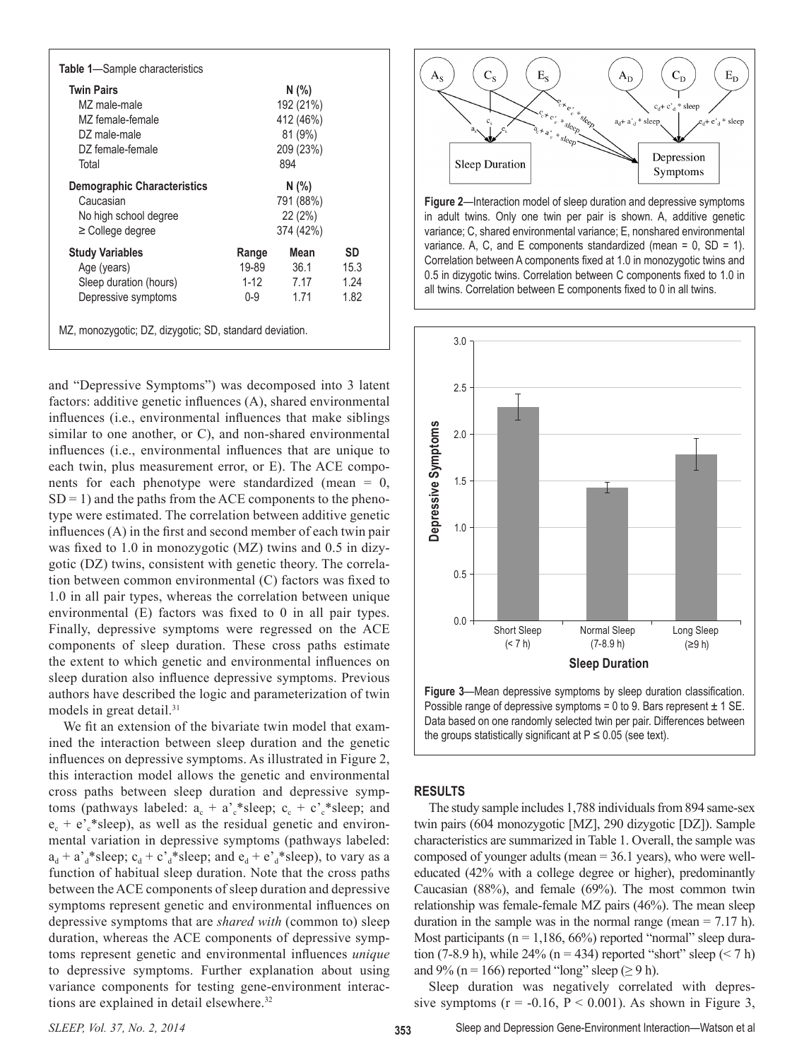| <b>Table 1</b> —Sample characteristics                  |        |           |      |
|---------------------------------------------------------|--------|-----------|------|
| <b>Twin Pairs</b>                                       |        | N(% )     |      |
| M7 male-male                                            |        | 192 (21%) |      |
| MZ female-female                                        |        | 412 (46%) |      |
| DZ male-male                                            |        | 81 (9%)   |      |
| DZ female-female                                        |        | 209 (23%) |      |
| Total                                                   |        | 894       |      |
| <b>Demographic Characteristics</b>                      |        | N(%)      |      |
| Caucasian                                               |        | 791 (88%) |      |
| No high school degree                                   |        | 22(2%)    |      |
| $\geq$ College degree                                   |        | 374 (42%) |      |
| <b>Study Variables</b>                                  | Range  | Mean      | SD   |
| Age (years)                                             | 19-89  | 36.1      | 15.3 |
| Sleep duration (hours)                                  | $1-12$ | 7.17      | 1.24 |
| Depressive symptoms                                     | 0-9    | 1.71      | 1.82 |
| MZ, monozygotic; DZ, dizygotic; SD, standard deviation. |        |           |      |

and "Depressive Symptoms") was decomposed into 3 latent factors: additive genetic influences (A), shared environmental influences (i.e., environmental influences that make siblings similar to one another, or C), and non-shared environmental influences (i.e., environmental influences that are unique to each twin, plus measurement error, or E). The ACE components for each phenotype were standardized (mean  $= 0$ ,  $SD = 1$ ) and the paths from the ACE components to the phenotype were estimated. The correlation between additive genetic influences (A) in the first and second member of each twin pair was fixed to 1.0 in monozygotic (MZ) twins and 0.5 in dizygotic (DZ) twins, consistent with genetic theory. The correlation between common environmental (C) factors was fixed to 1.0 in all pair types, whereas the correlation between unique environmental (E) factors was fixed to 0 in all pair types. Finally, depressive symptoms were regressed on the ACE components of sleep duration. These cross paths estimate the extent to which genetic and environmental influences on sleep duration also influence depressive symptoms. Previous authors have described the logic and parameterization of twin models in great detail.<sup>31</sup>

We fit an extension of the bivariate twin model that examined the interaction between sleep duration and the genetic influences on depressive symptoms. As illustrated in Figure 2, this interaction model allows the genetic and environmental cross paths between sleep duration and depressive symptoms (pathways labeled:  $a_c + a_c^*$ sleep;  $c_c + c_c^*$ sleep; and  $e_c + e_c^*$ sleep), as well as the residual genetic and environmental variation in depressive symptoms (pathways labeled:  $a_d + a_d^* s = c_d + c_d^* s = p$ ; and  $e_d + e_d^* s = p$ ), to vary as a function of habitual sleep duration. Note that the cross paths between the ACE components of sleep duration and depressive symptoms represent genetic and environmental influences on depressive symptoms that are *shared with* (common to) sleep duration, whereas the ACE components of depressive symptoms represent genetic and environmental influences *unique* to depressive symptoms. Further explanation about using variance components for testing gene-environment interactions are explained in detail elsewhere.32



**Figure 2**—Interaction model of sleep duration and depressive symptoms in adult twins. Only one twin per pair is shown. A, additive genetic variance; C, shared environmental variance; E, nonshared environmental variance. A, C, and E components standardized (mean =  $0$ , SD = 1). Correlation between A components fixed at 1.0 in monozygotic twins and 0.5 in dizygotic twins. Correlation between C components fixed to 1.0 in all twins. Correlation between E components fixed to 0 in all twins.



**Figure 3**—Mean depressive symptoms by sleep duration classification. Possible range of depressive symptoms = 0 to 9. Bars represent  $\pm$  1 SE. Data based on one randomly selected twin per pair. Differences between the groups statistically significant at  $P \le 0.05$  (see text).

### **RESULTS**

The study sample includes 1,788 individuals from 894 same-sex twin pairs (604 monozygotic [MZ], 290 dizygotic [DZ]). Sample characteristics are summarized in Table 1. Overall, the sample was composed of younger adults (mean = 36.1 years), who were welleducated (42% with a college degree or higher), predominantly Caucasian (88%), and female (69%). The most common twin relationship was female-female MZ pairs (46%). The mean sleep duration in the sample was in the normal range (mean  $= 7.17$  h). Most participants ( $n = 1,186, 66\%$ ) reported "normal" sleep duration (7-8.9 h), while 24% ( $n = 434$ ) reported "short" sleep ( $\leq 7$  h) and 9% (n = 166) reported "long" sleep ( $\ge$  9 h).

Sleep duration was negatively correlated with depressive symptoms ( $r = -0.16$ ,  $P \le 0.001$ ). As shown in Figure 3,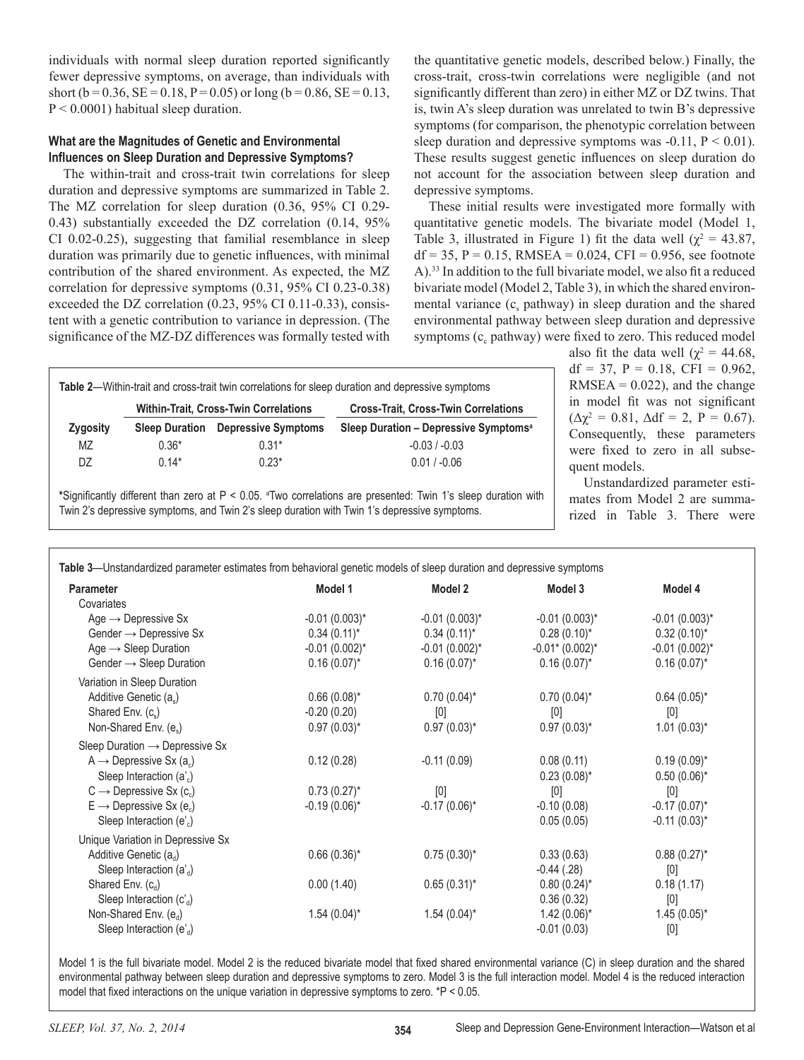individuals with normal sleep duration reported significantly fewer depressive symptoms, on average, than individuals with short (b =  $0.36$ , SE =  $0.18$ , P =  $0.05$ ) or long (b =  $0.86$ , SE =  $0.13$ ,  $P < 0.0001$ ) habitual sleep duration.

# **What are the Magnitudes of Genetic and Environmental Influences on Sleep Duration and Depressive Symptoms?**

The within-trait and cross-trait twin correlations for sleep duration and depressive symptoms are summarized in Table 2. The MZ correlation for sleep duration (0.36, 95% CI 0.29- 0.43) substantially exceeded the DZ correlation (0.14, 95% CI 0.02-0.25), suggesting that familial resemblance in sleep duration was primarily due to genetic influences, with minimal contribution of the shared environment. As expected, the MZ correlation for depressive symptoms (0.31, 95% CI 0.23-0.38) exceeded the DZ correlation (0.23, 95% CI 0.11-0.33), consistent with a genetic contribution to variance in depression. (The significance of the MZ-DZ differences was formally tested with

the quantitative genetic models, described below.) Finally, the cross-trait, cross-twin correlations were negligible (and not significantly different than zero) in either MZ or DZ twins. That is, twin A's sleep duration was unrelated to twin B's depressive symptoms (for comparison, the phenotypic correlation between sleep duration and depressive symptoms was  $-0.11$ ,  $P < 0.01$ ). These results suggest genetic influences on sleep duration do not account for the association between sleep duration and depressive symptoms.

These initial results were investigated more formally with quantitative genetic models. The bivariate model (Model 1, Table 3, illustrated in Figure 1) fit the data well ( $\chi^2 = 43.87$ ,  $df = 35$ ,  $P = 0.15$ , RMSEA = 0.024, CFI = 0.956, see footnote A).33 In addition to the full bivariate model, we also fit a reduced bivariate model (Model 2, Table 3), in which the shared environmental variance  $(c_s$  pathway) in sleep duration and the shared environmental pathway between sleep duration and depressive symptoms  $(c_c$  pathway) were fixed to zero. This reduced model

|           | Table 2-Within-trait and cross-trait twin correlations for sleep duration and depressive symptoms |                            |                                                   |  |  |
|-----------|---------------------------------------------------------------------------------------------------|----------------------------|---------------------------------------------------|--|--|
|           | <b>Within-Trait, Cross-Twin Correlations</b>                                                      |                            | <b>Cross-Trait, Cross-Twin Correlations</b>       |  |  |
| Zygosity  | <b>Sleep Duration</b>                                                                             | <b>Depressive Symptoms</b> | Sleep Duration - Depressive Symptoms <sup>a</sup> |  |  |
| <b>MZ</b> | $0.36*$                                                                                           | $0.31*$                    | $-0.03 / -0.03$                                   |  |  |
| DZ        | $0.14*$                                                                                           | $0.23*$                    | $0.01 / -0.06$                                    |  |  |

**\***Significantly different than zero at P < 0.05. <sup>a</sup> Two correlations are presented: Twin 1's sleep duration with Twin 2's depressive symptoms, and Twin 2's sleep duration with Twin 1's depressive symptoms.

also fit the data well ( $\chi^2 = 44.68$ ,  $df = 37$ ,  $P = 0.18$ ,  $CFI = 0.962$ ,  $RMSEA = 0.022$ , and the change in model fit was not significant  $(\Delta \chi^2 = 0.81, \Delta df = 2, P = 0.67).$ Consequently, these parameters were fixed to zero in all subsequent models.

Unstandardized parameter estimates from Model 2 are summarized in Table 3. There were

| <b>Parameter</b>                                | Model 1            | Model 2            | Model 3            | Model 4            |
|-------------------------------------------------|--------------------|--------------------|--------------------|--------------------|
| Covariates                                      |                    |                    |                    |                    |
| Age $\rightarrow$ Depressive Sx                 | $-0.01(0.003)^{*}$ | $-0.01(0.003)^{*}$ | $-0.01(0.003)^{*}$ | $-0.01(0.003)^*$   |
| Gender $\rightarrow$ Depressive Sx              | $0.34(0.11)^{*}$   | $0.34(0.11)^{*}$   | $0.28(0.10)^*$     | $0.32(0.10)^{*}$   |
| Age $\rightarrow$ Sleep Duration                | $-0.01(0.002)^{*}$ | $-0.01(0.002)^{*}$ | $-0.01$ * (0.002)* | $-0.01(0.002)^{*}$ |
| Gender $\rightarrow$ Sleep Duration             | $0.16(0.07)^{*}$   | $0.16(0.07)^{*}$   | $0.16(0.07)^{*}$   | $0.16(0.07)^{*}$   |
| Variation in Sleep Duration                     |                    |                    |                    |                    |
| Additive Genetic (as)                           | $0.66(0.08)^*$     | $0.70(0.04)^{*}$   | $0.70(0.04)$ *     | $0.64(0.05)^{*}$   |
| Shared Env. $(c_s)$                             | $-0.20(0.20)$      | [0]                | [0]                | $[0]$              |
| Non-Shared Env. (e.)                            | $0.97(0.03)^{*}$   | $0.97(0.03)^{*}$   | $0.97(0.03)^{*}$   | $1.01(0.03)^{*}$   |
| Sleep Duration $\rightarrow$ Depressive Sx      |                    |                    |                    |                    |
| $A \rightarrow$ Depressive Sx (a <sub>c</sub> ) | 0.12(0.28)         | $-0.11(0.09)$      | 0.08(0.11)         | $0.19(0.09)^{*}$   |
| Sleep Interaction $(a')$                        |                    |                    | $0.23(0.08)^{*}$   | $0.50(0.06)^{*}$   |
| $C \rightarrow$ Depressive Sx (c.)              | $0.73(0.27)^{*}$   | [0]                | [0]                | [0]                |
| $E \rightarrow$ Depressive Sx (e <sub>c</sub> ) | $-0.19(0.06)^*$    | $-0.17(0.06)^*$    | $-0.10(0.08)$      | $-0.17(0.07)^*$    |
| Sleep Interaction (e' $_{\circ}$ )              |                    |                    | 0.05(0.05)         | $-0.11(0.03)^{*}$  |
| Unique Variation in Depressive Sx               |                    |                    |                    |                    |
| Additive Genetic (a <sub>d</sub> )              | $0.66(0.36)^{*}$   | $0.75(0.30)^{*}$   | 0.33(0.63)         | $0.88(0.27)^{*}$   |
| Sleep Interaction $(a'_d)$                      |                    |                    | $-0.44$ (.28)      | [0]                |
| Shared Env. $(c_d)$                             | 0.00(1.40)         | $0.65(0.31)^{*}$   | $0.80(0.24)$ *     | 0.18(1.17)         |
| Sleep Interaction $(c'_d)$                      |                    |                    | 0.36(0.32)         | [0]                |
| Non-Shared Env. $(e_{d})$                       | $1.54(0.04)^{*}$   | $1.54(0.04)^{*}$   | $1.42(0.06)$ *     | $1.45(0.05)^{*}$   |
| Sleep Interaction (e' $_{d}$ )                  |                    |                    | $-0.01(0.03)$      | [0]                |

Model 1 is the full bivariate model. Model 2 is the reduced bivariate model that fixed shared environmental variance (C) in sleep duration and the shared environmental pathway between sleep duration and depressive symptoms to zero. Model 3 is the full interaction model. Model 4 is the reduced interaction model that fixed interactions on the unique variation in depressive symptoms to zero. \*P < 0.05.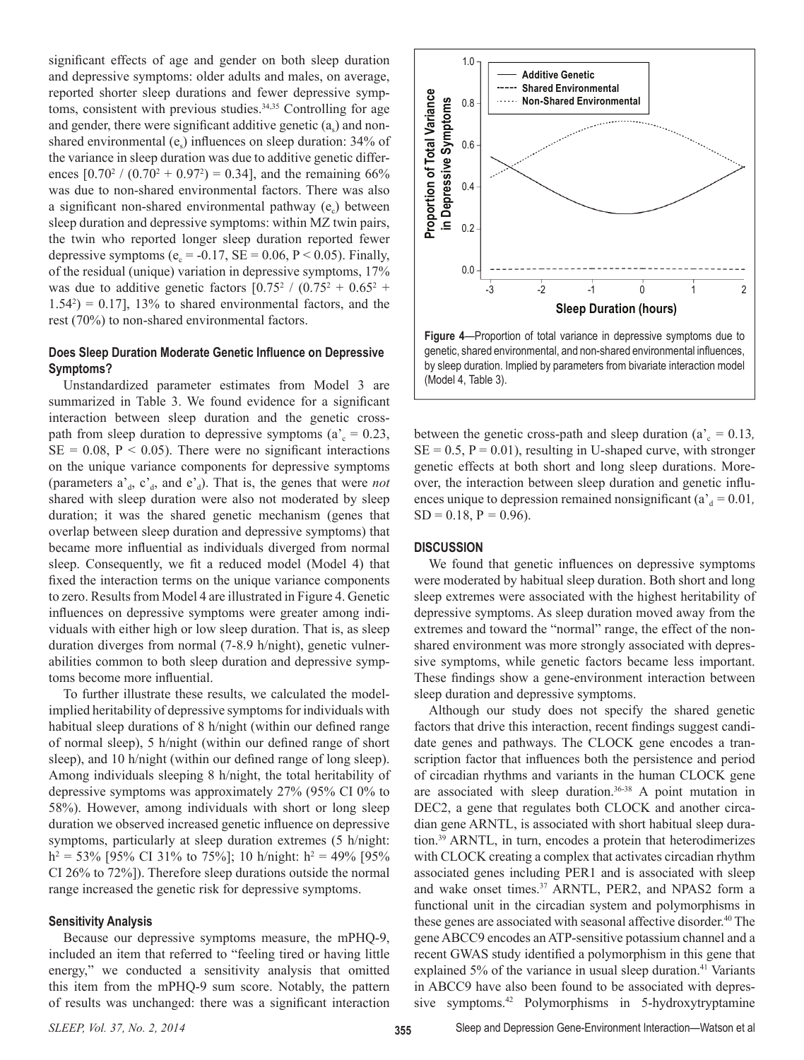significant effects of age and gender on both sleep duration and depressive symptoms: older adults and males, on average, reported shorter sleep durations and fewer depressive symptoms, consistent with previous studies.<sup>34,35</sup> Controlling for age and gender, there were significant additive genetic  $(a_s)$  and nonshared environmental  $(e_5)$  influences on sleep duration: 34% of the variance in sleep duration was due to additive genetic differences  $[0.70^2 / (0.70^2 + 0.97^2) = 0.34]$ , and the remaining 66% was due to non-shared environmental factors. There was also a significant non-shared environmental pathway  $(e<sub>c</sub>)$  between sleep duration and depressive symptoms: within MZ twin pairs, the twin who reported longer sleep duration reported fewer depressive symptoms ( $e_c$  = -0.17, SE = 0.06, P < 0.05). Finally, of the residual (unique) variation in depressive symptoms, 17% was due to additive genetic factors  $[0.75^2 / (0.75^2 + 0.65^2 + 1.05^2)]$  $1.54<sup>2</sup>$ ) = 0.17], 13% to shared environmental factors, and the rest (70%) to non-shared environmental factors.

# **Does Sleep Duration Moderate Genetic Influence on Depressive Symptoms?**

Unstandardized parameter estimates from Model 3 are summarized in Table 3. We found evidence for a significant interaction between sleep duration and the genetic crosspath from sleep duration to depressive symptoms ( $a<sub>c</sub> = 0.23$ ,  $SE = 0.08$ ,  $P < 0.05$ ). There were no significant interactions on the unique variance components for depressive symptoms (parameters  $a_d$ ,  $c_d$ , and  $e_d$ ). That is, the genes that were *not* shared with sleep duration were also not moderated by sleep duration; it was the shared genetic mechanism (genes that overlap between sleep duration and depressive symptoms) that became more influential as individuals diverged from normal sleep. Consequently, we fit a reduced model (Model 4) that fixed the interaction terms on the unique variance components to zero. Results from Model 4 are illustrated in Figure 4. Genetic influences on depressive symptoms were greater among individuals with either high or low sleep duration. That is, as sleep duration diverges from normal (7-8.9 h/night), genetic vulnerabilities common to both sleep duration and depressive symptoms become more influential.

To further illustrate these results, we calculated the modelimplied heritability of depressive symptoms for individuals with habitual sleep durations of 8 h/night (within our defined range of normal sleep), 5 h/night (within our defined range of short sleep), and 10 h/night (within our defined range of long sleep). Among individuals sleeping 8 h/night, the total heritability of depressive symptoms was approximately 27% (95% CI 0% to 58%). However, among individuals with short or long sleep duration we observed increased genetic influence on depressive symptoms, particularly at sleep duration extremes (5 h/night:  $h^2 = 53\%$  [95% CI 31% to 75%]; 10 h/night:  $h^2 = 49\%$  [95% CI 26% to 72%]). Therefore sleep durations outside the normal range increased the genetic risk for depressive symptoms.

#### **Sensitivity Analysis**

Because our depressive symptoms measure, the mPHQ-9, included an item that referred to "feeling tired or having little energy," we conducted a sensitivity analysis that omitted this item from the mPHQ-9 sum score. Notably, the pattern of results was unchanged: there was a significant interaction



**Figure 4**—Proportion of total variance in depressive symptoms due to genetic, shared environmental, and non-shared environmental influences, by sleep duration. Implied by parameters from bivariate interaction model (Model 4, Table 3).

between the genetic cross-path and sleep duration ( $a<sub>c</sub> = 0.13$ *,*  $SE = 0.5$ ,  $P = 0.01$ ), resulting in U-shaped curve, with stronger genetic effects at both short and long sleep durations. Moreover, the interaction between sleep duration and genetic influences unique to depression remained nonsignificant ( $a_d^* = 0.01$ ,  $SD = 0.18$ ,  $P = 0.96$ ).

#### **DISCUSSION**

We found that genetic influences on depressive symptoms were moderated by habitual sleep duration. Both short and long sleep extremes were associated with the highest heritability of depressive symptoms. As sleep duration moved away from the extremes and toward the "normal" range, the effect of the nonshared environment was more strongly associated with depressive symptoms, while genetic factors became less important. These findings show a gene-environment interaction between sleep duration and depressive symptoms.

Although our study does not specify the shared genetic factors that drive this interaction, recent findings suggest candidate genes and pathways. The CLOCK gene encodes a transcription factor that influences both the persistence and period of circadian rhythms and variants in the human CLOCK gene are associated with sleep duration.<sup>36-38</sup> A point mutation in DEC2, a gene that regulates both CLOCK and another circadian gene ARNTL, is associated with short habitual sleep duration.39 ARNTL, in turn, encodes a protein that heterodimerizes with CLOCK creating a complex that activates circadian rhythm associated genes including PER1 and is associated with sleep and wake onset times.<sup>37</sup> ARNTL, PER2, and NPAS2 form a functional unit in the circadian system and polymorphisms in these genes are associated with seasonal affective disorder.<sup>40</sup> The gene ABCC9 encodes an ATP-sensitive potassium channel and a recent GWAS study identified a polymorphism in this gene that explained 5% of the variance in usual sleep duration.<sup>41</sup> Variants in ABCC9 have also been found to be associated with depressive symptoms.42 Polymorphisms in 5-hydroxytryptamine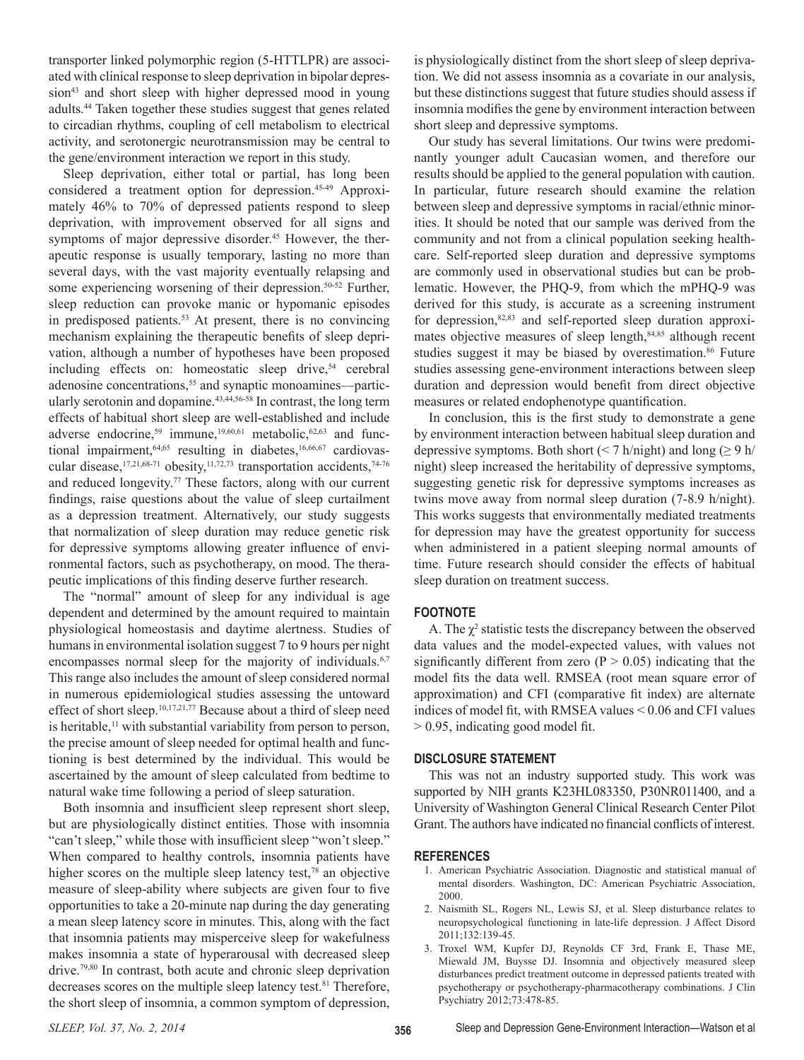transporter linked polymorphic region (5-HTTLPR) are associated with clinical response to sleep deprivation in bipolar depression<sup>43</sup> and short sleep with higher depressed mood in young adults.44 Taken together these studies suggest that genes related to circadian rhythms, coupling of cell metabolism to electrical activity, and serotonergic neurotransmission may be central to the gene/environment interaction we report in this study.

Sleep deprivation, either total or partial, has long been considered a treatment option for depression.45-49 Approximately 46% to 70% of depressed patients respond to sleep deprivation, with improvement observed for all signs and symptoms of major depressive disorder.<sup>45</sup> However, the therapeutic response is usually temporary, lasting no more than several days, with the vast majority eventually relapsing and some experiencing worsening of their depression. $50-52$  Further, sleep reduction can provoke manic or hypomanic episodes in predisposed patients. $53$  At present, there is no convincing mechanism explaining the therapeutic benefits of sleep deprivation, although a number of hypotheses have been proposed including effects on: homeostatic sleep drive,<sup>54</sup> cerebral adenosine concentrations,<sup>55</sup> and synaptic monoamines—particularly serotonin and dopamine.43,44,56-58 In contrast, the long term effects of habitual short sleep are well-established and include adverse endocrine,<sup>59</sup> immune,<sup>19,60,61</sup> metabolic,<sup>62,63</sup> and functional impairment,  $64,65$  resulting in diabetes,  $16,66,67$  cardiovascular disease,<sup>17,21,68-71</sup> obesity,<sup>11,72,73</sup> transportation accidents,<sup>74-76</sup> and reduced longevity.<sup>77</sup> These factors, along with our current findings, raise questions about the value of sleep curtailment as a depression treatment. Alternatively, our study suggests that normalization of sleep duration may reduce genetic risk for depressive symptoms allowing greater influence of environmental factors, such as psychotherapy, on mood. The therapeutic implications of this finding deserve further research.

The "normal" amount of sleep for any individual is age dependent and determined by the amount required to maintain physiological homeostasis and daytime alertness. Studies of humans in environmental isolation suggest 7 to 9 hours per night encompasses normal sleep for the majority of individuals.<sup>6,7</sup> This range also includes the amount of sleep considered normal in numerous epidemiological studies assessing the untoward effect of short sleep.<sup>10,17,21,77</sup> Because about a third of sleep need is heritable, $<sup>11</sup>$  with substantial variability from person to person,</sup> the precise amount of sleep needed for optimal health and functioning is best determined by the individual. This would be ascertained by the amount of sleep calculated from bedtime to natural wake time following a period of sleep saturation.

Both insomnia and insufficient sleep represent short sleep, but are physiologically distinct entities. Those with insomnia "can't sleep," while those with insufficient sleep "won't sleep." When compared to healthy controls, insomnia patients have higher scores on the multiple sleep latency test,<sup>78</sup> an objective measure of sleep-ability where subjects are given four to five opportunities to take a 20-minute nap during the day generating a mean sleep latency score in minutes. This, along with the fact that insomnia patients may misperceive sleep for wakefulness makes insomnia a state of hyperarousal with decreased sleep drive.79,80 In contrast, both acute and chronic sleep deprivation decreases scores on the multiple sleep latency test.<sup>81</sup> Therefore, the short sleep of insomnia, a common symptom of depression,

is physiologically distinct from the short sleep of sleep deprivation. We did not assess insomnia as a covariate in our analysis, but these distinctions suggest that future studies should assess if insomnia modifies the gene by environment interaction between short sleep and depressive symptoms.

Our study has several limitations. Our twins were predominantly younger adult Caucasian women, and therefore our results should be applied to the general population with caution. In particular, future research should examine the relation between sleep and depressive symptoms in racial/ethnic minorities. It should be noted that our sample was derived from the community and not from a clinical population seeking healthcare. Self-reported sleep duration and depressive symptoms are commonly used in observational studies but can be problematic. However, the PHQ-9, from which the mPHQ-9 was derived for this study, is accurate as a screening instrument for depression, $82,83$  and self-reported sleep duration approximates objective measures of sleep length,<sup>84,85</sup> although recent studies suggest it may be biased by overestimation.<sup>86</sup> Future studies assessing gene-environment interactions between sleep duration and depression would benefit from direct objective measures or related endophenotype quantification.

In conclusion, this is the first study to demonstrate a gene by environment interaction between habitual sleep duration and depressive symptoms. Both short ( $\leq$  7 h/night) and long ( $\geq$  9 h/ night) sleep increased the heritability of depressive symptoms, suggesting genetic risk for depressive symptoms increases as twins move away from normal sleep duration (7-8.9 h/night). This works suggests that environmentally mediated treatments for depression may have the greatest opportunity for success when administered in a patient sleeping normal amounts of time. Future research should consider the effects of habitual sleep duration on treatment success.

# **FOOTNOTE**

A. The  $\chi^2$  statistic tests the discrepancy between the observed data values and the model-expected values, with values not significantly different from zero ( $P > 0.05$ ) indicating that the model fits the data well. RMSEA (root mean square error of approximation) and CFI (comparative fit index) are alternate indices of model fit, with RMSEA values < 0.06 and CFI values > 0.95, indicating good model fit.

# **DISCLOSURE STATEMENT**

This was not an industry supported study. This work was supported by NIH grants K23HL083350, P30NR011400, and a University of Washington General Clinical Research Center Pilot Grant. The authors have indicated no financial conflicts of interest.

#### **REFERENCES**

- 1. American Psychiatric Association. Diagnostic and statistical manual of mental disorders. Washington, DC: American Psychiatric Association, 2000.
- 2. Naismith SL, Rogers NL, Lewis SJ, et al. Sleep disturbance relates to neuropsychological functioning in late-life depression. J Affect Disord 2011;132:139-45.
- 3. Troxel WM, Kupfer DJ, Reynolds CF 3rd, Frank E, Thase ME, Miewald JM, Buysse DJ. Insomnia and objectively measured sleep disturbances predict treatment outcome in depressed patients treated with psychotherapy or psychotherapy-pharmacotherapy combinations. J Clin Psychiatry 2012;73:478-85.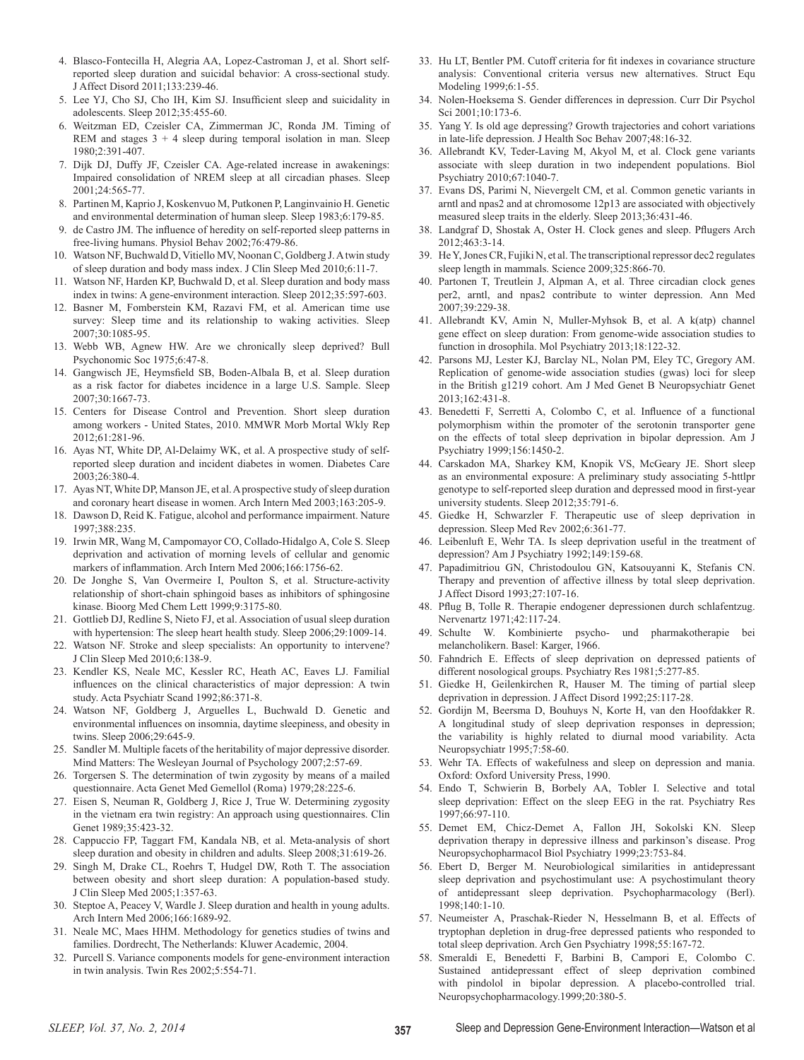- 4. Blasco-Fontecilla H, Alegria AA, Lopez-Castroman J, et al. Short selfreported sleep duration and suicidal behavior: A cross-sectional study. J Affect Disord 2011;133:239-46.
- 5. Lee YJ, Cho SJ, Cho IH, Kim SJ. Insufficient sleep and suicidality in adolescents. Sleep 2012;35:455-60.
- 6. Weitzman ED, Czeisler CA, Zimmerman JC, Ronda JM. Timing of REM and stages  $3 + 4$  sleep during temporal isolation in man. Sleep 1980;2:391-407.
- 7. Dijk DJ, Duffy JF, Czeisler CA. Age-related increase in awakenings: Impaired consolidation of NREM sleep at all circadian phases. Sleep 2001;24:565-77.
- 8. Partinen M, Kaprio J, Koskenvuo M, Putkonen P, Langinvainio H. Genetic and environmental determination of human sleep. Sleep 1983;6:179-85.
- 9. de Castro JM. The influence of heredity on self-reported sleep patterns in free-living humans. Physiol Behav 2002;76:479-86.
- 10. Watson NF, Buchwald D, Vitiello MV, Noonan C, Goldberg J. A twin study of sleep duration and body mass index. J Clin Sleep Med 2010;6:11-7.
- 11. Watson NF, Harden KP, Buchwald D, et al. Sleep duration and body mass index in twins: A gene-environment interaction. Sleep 2012;35:597-603.
- 12. Basner M, Fomberstein KM, Razavi FM, et al. American time use survey: Sleep time and its relationship to waking activities. Sleep 2007;30:1085-95.
- 13. Webb WB, Agnew HW. Are we chronically sleep deprived? Bull Psychonomic Soc 1975;6:47-8.
- 14. Gangwisch JE, Heymsfield SB, Boden-Albala B, et al. Sleep duration as a risk factor for diabetes incidence in a large U.S. Sample. Sleep 2007;30:1667-73.
- 15. Centers for Disease Control and Prevention. Short sleep duration among workers - United States, 2010. MMWR Morb Mortal Wkly Rep 2012;61:281-96.
- 16. Ayas NT, White DP, Al-Delaimy WK, et al. A prospective study of selfreported sleep duration and incident diabetes in women. Diabetes Care 2003;26:380-4.
- 17. Ayas NT, White DP, Manson JE, et al. A prospective study of sleep duration and coronary heart disease in women. Arch Intern Med 2003;163:205-9.
- 18. Dawson D, Reid K. Fatigue, alcohol and performance impairment. Nature 1997;388:235.
- 19. Irwin MR, Wang M, Campomayor CO, Collado-Hidalgo A, Cole S. Sleep deprivation and activation of morning levels of cellular and genomic markers of inflammation. Arch Intern Med 2006;166:1756-62.
- 20. De Jonghe S, Van Overmeire I, Poulton S, et al. Structure-activity relationship of short-chain sphingoid bases as inhibitors of sphingosine kinase. Bioorg Med Chem Lett 1999;9:3175-80.
- 21. Gottlieb DJ, Redline S, Nieto FJ, et al. Association of usual sleep duration with hypertension: The sleep heart health study. Sleep 2006;29:1009-14.
- 22. Watson NF. Stroke and sleep specialists: An opportunity to intervene? J Clin Sleep Med 2010;6:138-9.
- 23. Kendler KS, Neale MC, Kessler RC, Heath AC, Eaves LJ. Familial influences on the clinical characteristics of major depression: A twin study. Acta Psychiatr Scand 1992;86:371-8.
- 24. Watson NF, Goldberg J, Arguelles L, Buchwald D. Genetic and environmental influences on insomnia, daytime sleepiness, and obesity in twins. Sleep 2006;29:645-9.
- 25. Sandler M. Multiple facets of the heritability of major depressive disorder. Mind Matters: The Wesleyan Journal of Psychology 2007;2:57-69.
- 26. Torgersen S. The determination of twin zygosity by means of a mailed questionnaire. Acta Genet Med Gemellol (Roma) 1979;28:225-6.
- 27. Eisen S, Neuman R, Goldberg J, Rice J, True W. Determining zygosity in the vietnam era twin registry: An approach using questionnaires. Clin Genet 1989;35:423-32.
- 28. Cappuccio FP, Taggart FM, Kandala NB, et al. Meta-analysis of short sleep duration and obesity in children and adults. Sleep 2008;31:619-26.
- 29. Singh M, Drake CL, Roehrs T, Hudgel DW, Roth T. The association between obesity and short sleep duration: A population-based study. J Clin Sleep Med 2005;1:357-63.
- 30. Steptoe A, Peacey V, Wardle J. Sleep duration and health in young adults. Arch Intern Med 2006;166:1689-92.
- 31. Neale MC, Maes HHM. Methodology for genetics studies of twins and families. Dordrecht, The Netherlands: Kluwer Academic, 2004.
- 32. Purcell S. Variance components models for gene-environment interaction in twin analysis. Twin Res 2002;5:554-71.
- 33. Hu LT, Bentler PM. Cutoff criteria for fit indexes in covariance structure analysis: Conventional criteria versus new alternatives. Struct Equ Modeling 1999;6:1-55.
- 34. Nolen-Hoeksema S. Gender differences in depression. Curr Dir Psychol Sci 2001;10:173-6.
- 35. Yang Y. Is old age depressing? Growth trajectories and cohort variations in late-life depression. J Health Soc Behav 2007;48:16-32.
- 36. Allebrandt KV, Teder-Laving M, Akyol M, et al. Clock gene variants associate with sleep duration in two independent populations. Biol Psychiatry 2010;67:1040-7.
- 37. Evans DS, Parimi N, Nievergelt CM, et al. Common genetic variants in arntl and npas2 and at chromosome 12p13 are associated with objectively measured sleep traits in the elderly. Sleep 2013;36:431-46.
- 38. Landgraf D, Shostak A, Oster H. Clock genes and sleep. Pflugers Arch 2012;463:3-14.
- 39. He Y, Jones CR, Fujiki N, et al. The transcriptional repressor dec2 regulates sleep length in mammals. Science 2009;325:866-70.
- 40. Partonen T, Treutlein J, Alpman A, et al. Three circadian clock genes per2, arntl, and npas2 contribute to winter depression. Ann Med 2007;39:229-38.
- 41. Allebrandt KV, Amin N, Muller-Myhsok B, et al. A k(atp) channel gene effect on sleep duration: From genome-wide association studies to function in drosophila. Mol Psychiatry 2013;18:122-32.
- 42. Parsons MJ, Lester KJ, Barclay NL, Nolan PM, Eley TC, Gregory AM. Replication of genome-wide association studies (gwas) loci for sleep in the British g1219 cohort. Am J Med Genet B Neuropsychiatr Genet 2013;162:431-8.
- 43. Benedetti F, Serretti A, Colombo C, et al. Influence of a functional polymorphism within the promoter of the serotonin transporter gene on the effects of total sleep deprivation in bipolar depression. Am J Psychiatry 1999;156:1450-2.
- 44. Carskadon MA, Sharkey KM, Knopik VS, McGeary JE. Short sleep as an environmental exposure: A preliminary study associating 5-httlpr genotype to self-reported sleep duration and depressed mood in first-year university students. Sleep 2012;35:791-6.
- 45. Giedke H, Schwarzler F. Therapeutic use of sleep deprivation in depression. Sleep Med Rev 2002;6:361-77.
- 46. Leibenluft E, Wehr TA. Is sleep deprivation useful in the treatment of depression? Am J Psychiatry 1992;149:159-68.
- 47. Papadimitriou GN, Christodoulou GN, Katsouyanni K, Stefanis CN. Therapy and prevention of affective illness by total sleep deprivation. J Affect Disord 1993;27:107-16.
- 48. Pflug B, Tolle R. Therapie endogener depressionen durch schlafentzug. Nervenartz 1971;42:117-24.
- 49. Schulte W. Kombinierte psycho- und pharmakotherapie bei melancholikern. Basel: Karger, 1966.
- 50. Fahndrich E. Effects of sleep deprivation on depressed patients of different nosological groups. Psychiatry Res 1981;5:277-85.
- 51. Giedke H, Geilenkirchen R, Hauser M. The timing of partial sleep deprivation in depression. J Affect Disord 1992;25:117-28.
- 52. Gordijn M, Beersma D, Bouhuys N, Korte H, van den Hoofdakker R. A longitudinal study of sleep deprivation responses in depression; the variability is highly related to diurnal mood variability. Acta Neuropsychiatr 1995;7:58-60.
- 53. Wehr TA. Effects of wakefulness and sleep on depression and mania. Oxford: Oxford University Press, 1990.
- 54. Endo T, Schwierin B, Borbely AA, Tobler I. Selective and total sleep deprivation: Effect on the sleep EEG in the rat. Psychiatry Res 1997;66:97-110.
- 55. Demet EM, Chicz-Demet A, Fallon JH, Sokolski KN. Sleep deprivation therapy in depressive illness and parkinson's disease. Prog Neuropsychopharmacol Biol Psychiatry 1999;23:753-84.
- 56. Ebert D, Berger M. Neurobiological similarities in antidepressant sleep deprivation and psychostimulant use: A psychostimulant theory of antidepressant sleep deprivation. Psychopharmacology (Berl). 1998;140:1-10.
- 57. Neumeister A, Praschak-Rieder N, Hesselmann B, et al. Effects of tryptophan depletion in drug-free depressed patients who responded to total sleep deprivation. Arch Gen Psychiatry 1998;55:167-72.
- 58. Smeraldi E, Benedetti F, Barbini B, Campori E, Colombo C. Sustained antidepressant effect of sleep deprivation combined with pindolol in bipolar depression. A placebo-controlled trial. Neuropsychopharmacology.1999;20:380-5.